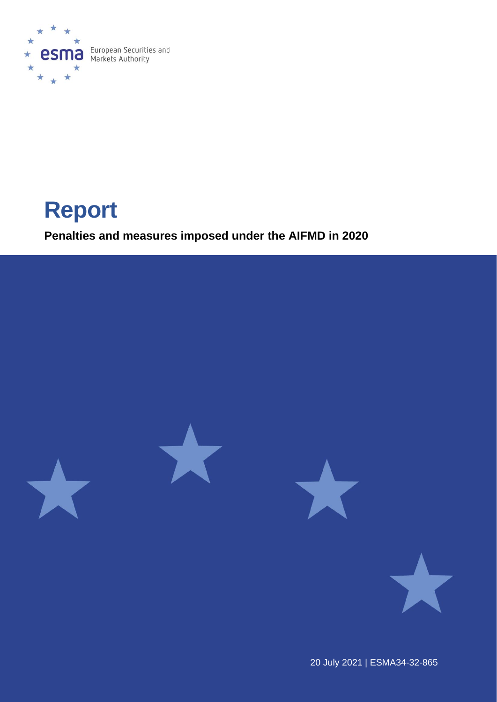

# **Report**

**Penalties and measures imposed under the AIFMD in 2020**



20 July 2021 | ESMA34-32-865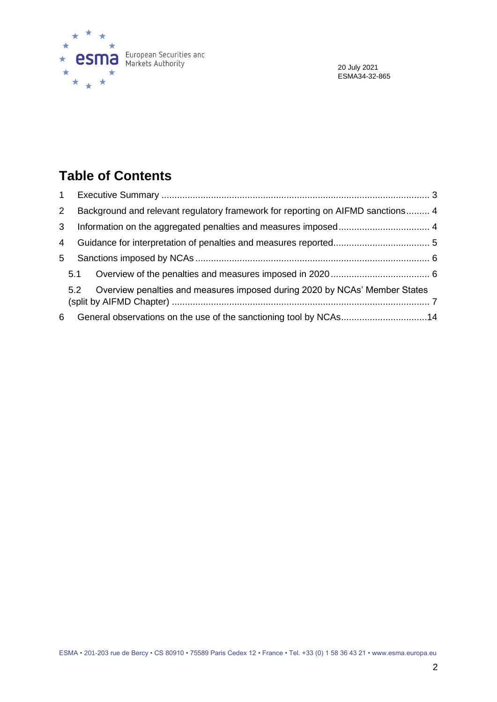

20 July 2021 ESMA34-32-865

# **Table of Contents**

| $\mathbf{1}$ |     |                                                                                 |  |  |  |  |  |  |  |
|--------------|-----|---------------------------------------------------------------------------------|--|--|--|--|--|--|--|
| $\mathbf{2}$ |     | Background and relevant regulatory framework for reporting on AIFMD sanctions 4 |  |  |  |  |  |  |  |
| 3            |     |                                                                                 |  |  |  |  |  |  |  |
| 4            |     |                                                                                 |  |  |  |  |  |  |  |
| 5            |     |                                                                                 |  |  |  |  |  |  |  |
|              | 5.1 |                                                                                 |  |  |  |  |  |  |  |
|              | 5.2 | Overview penalties and measures imposed during 2020 by NCAs' Member States      |  |  |  |  |  |  |  |
| 6            |     | General observations on the use of the sanctioning tool by NCAs14               |  |  |  |  |  |  |  |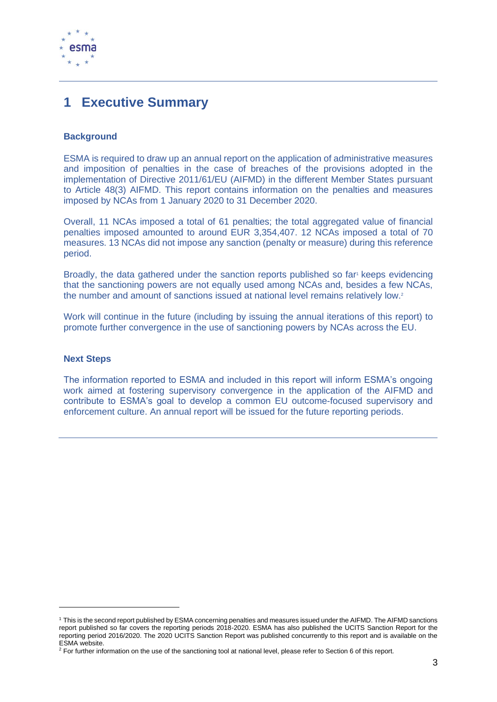

# <span id="page-2-0"></span>**1 Executive Summary**

### **Background**

ESMA is required to draw up an annual report on the application of administrative measures and imposition of penalties in the case of breaches of the provisions adopted in the implementation of Directive 2011/61/EU (AIFMD) in the different Member States pursuant to Article 48(3) AIFMD. This report contains information on the penalties and measures imposed by NCAs from 1 January 2020 to 31 December 2020.

Overall, 11 NCAs imposed a total of 61 penalties; the total aggregated value of financial penalties imposed amounted to around EUR 3,354,407. 12 NCAs imposed a total of 70 measures. 13 NCAs did not impose any sanction (penalty or measure) during this reference period.

Broadly, the data gathered under the sanction reports published so far<sup>1</sup> keeps evidencing that the sanctioning powers are not equally used among NCAs and, besides a few NCAs, the number and amount of sanctions issued at national level remains relatively low.<sup>2</sup>

Work will continue in the future (including by issuing the annual iterations of this report) to promote further convergence in the use of sanctioning powers by NCAs across the EU.

### **Next Steps**

The information reported to ESMA and included in this report will inform ESMA's ongoing work aimed at fostering supervisory convergence in the application of the AIFMD and contribute to ESMA's goal to develop a common EU outcome-focused supervisory and enforcement culture. An annual report will be issued for the future reporting periods.

<sup>1</sup> This is the second report published by ESMA concerning penalties and measures issued under the AIFMD. The AIFMD sanctions report published so far covers the reporting periods 2018-2020. ESMA has also published the UCITS Sanction Report for the reporting period 2016/2020. The 2020 UCITS Sanction Report was published concurrently to this report and is available on the ESMA website.

 $2$  For further information on the use of the sanctioning tool at national level, please refer to Section 6 of this report.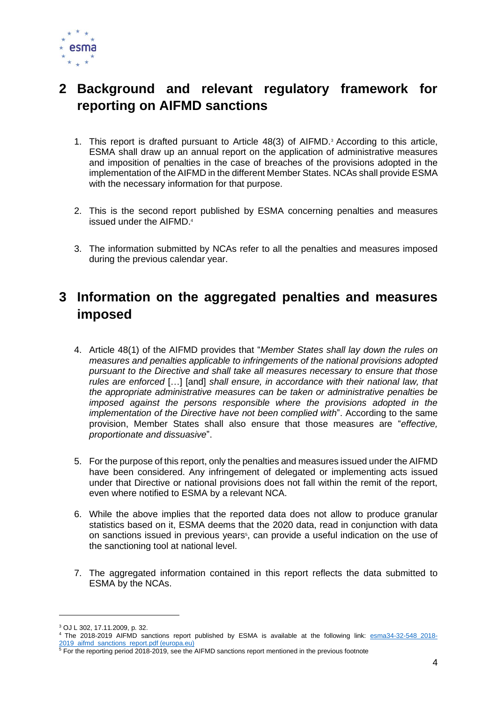

# <span id="page-3-0"></span>**2 Background and relevant regulatory framework for reporting on AIFMD sanctions**

- 1. This report is drafted pursuant to Article 48(3) of AIFMD. <sup>3</sup> According to this article, ESMA shall draw up an annual report on the application of administrative measures and imposition of penalties in the case of breaches of the provisions adopted in the implementation of the AIFMD in the different Member States. NCAs shall provide ESMA with the necessary information for that purpose.
- 2. This is the second report published by ESMA concerning penalties and measures issued under the AIFMD. 4
- 3. The information submitted by NCAs refer to all the penalties and measures imposed during the previous calendar year.

# <span id="page-3-1"></span>**3 Information on the aggregated penalties and measures imposed**

- 4. Article 48(1) of the AIFMD provides that "*Member States shall lay down the rules on measures and penalties applicable to infringements of the national provisions adopted pursuant to the Directive and shall take all measures necessary to ensure that those rules are enforced* […] [and] *shall ensure, in accordance with their national law, that the appropriate administrative measures can be taken or administrative penalties be imposed against the persons responsible where the provisions adopted in the implementation of the Directive have not been complied with*". According to the same provision, Member States shall also ensure that those measures are "*effective, proportionate and dissuasive*".
- 5. For the purpose of this report, only the penalties and measures issued under the AIFMD have been considered. Any infringement of delegated or implementing acts issued under that Directive or national provisions does not fall within the remit of the report, even where notified to ESMA by a relevant NCA.
- 6. While the above implies that the reported data does not allow to produce granular statistics based on it, ESMA deems that the 2020 data, read in conjunction with data on sanctions issued in previous years<sup>5</sup>, can provide a useful indication on the use of the sanctioning tool at national level.
- 7. The aggregated information contained in this report reflects the data submitted to ESMA by the NCAs.

 $3$  OJ L 302, 17.11.2009, p. 32.

<sup>4</sup> The 2018-2019 AIFMD sanctions report published by ESMA is available at the following link: [esma34-32-548\\_2018-](https://www.esma.europa.eu/sites/default/files/library/esma34-32-548_2018-2019_aifmd_sanctions_report.pdf) [2019\\_aifmd\\_sanctions\\_report.pdf \(europa.eu\)](https://www.esma.europa.eu/sites/default/files/library/esma34-32-548_2018-2019_aifmd_sanctions_report.pdf)

<sup>&</sup>lt;sup>5</sup> For the reporting period 2018-2019, see the AIFMD sanctions report mentioned in the previous footnote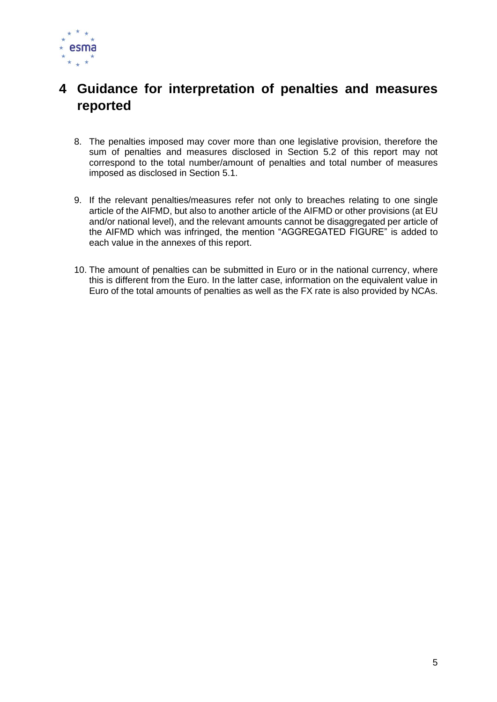

# <span id="page-4-0"></span>**4 Guidance for interpretation of penalties and measures reported**

- 8. The penalties imposed may cover more than one legislative provision, therefore the sum of penalties and measures disclosed in Section 5.2 of this report may not correspond to the total number/amount of penalties and total number of measures imposed as disclosed in Section 5.1.
- 9. If the relevant penalties/measures refer not only to breaches relating to one single article of the AIFMD, but also to another article of the AIFMD or other provisions (at EU and/or national level), and the relevant amounts cannot be disaggregated per article of the AIFMD which was infringed, the mention "AGGREGATED FIGURE" is added to each value in the annexes of this report.
- 10. The amount of penalties can be submitted in Euro or in the national currency, where this is different from the Euro. In the latter case, information on the equivalent value in Euro of the total amounts of penalties as well as the FX rate is also provided by NCAs.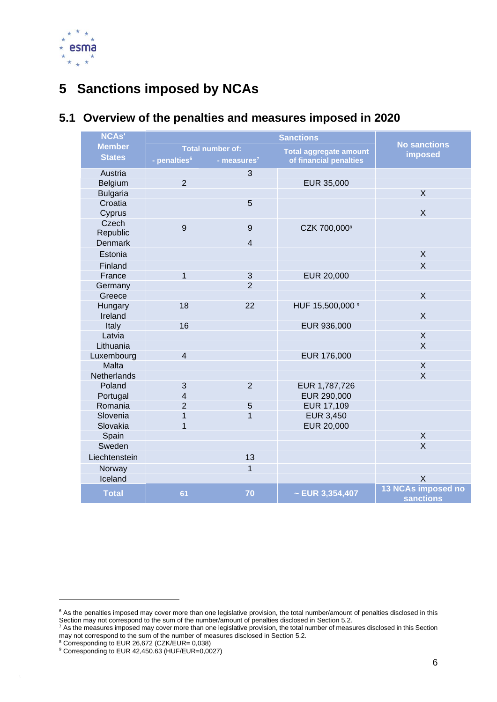

# <span id="page-5-0"></span>**5 Sanctions imposed by NCAs**

#### **NCAs' Member States Sanctions No sanctions imposed Total number of: Total aggregate amount**<br>**Properties number of financial penalties contains - penalties of financial penalties <sup>6</sup> - measures<sup>7</sup>** Austria 3 Belgium 2 EUR 35,000 Bulgaria X and the control of the control of the control of the control of the control of the control of the c Croatia de la contrada de la contrada de la contrada de la contrada de la contrada de la contrada de la contrada de la contrada de la contrada de la contrada de la contrada de la contrada de la contrada de la contrada de l Cyprus | X Czech<br>Republic  $\begin{array}{ccc} 9 & 9 & CZK 700,000\end{array}$ **Denmark** Estonia X Finland  $\qquad \qquad \blacksquare$ France 1 1 3 EUR 20,000 Germany 2 Greece in the contract of the contract of the contract of the contract of the contract of the contract of the c Hungary 18 22 HUF 15,500,000 9 Ireland New York (1992) and the second state of the second state  $\lambda$ Italy 16 16 EUR 936,000 Latvia X Lithuania **X** Luxembourg 4 EUR 176,000 Malta X Netherlands X Poland 3 2 EUR 1,787,726 Portugal 1 4<br>
Romania 1 2 5 EUR 290,000<br>
Romania 2 5 EUR 17,109 Promania 2 2 5 EUR 17,109<br>Slovenia 1 1 EUR 3.450 Slovenia 1 1 1 EUR 3,450 Slovakia 1 1 EUR 20,000 Spain **X** Northern Section (Northern Section 1995) and the second section (Northern Section 1995) and  $\lambda$ Sweden in the second control of the second control of the second control of the second  $\lambda$ Liechtenstein 13 Norway 1 and 1 and 1 and 1 and 1 and 1 and 1 and 1 and 1 and 1 and 1 and 1 and 1 and 1 and 1 and 1 and 1 and 1  $\,$  ${\sf I}$ celand  ${\sf I}$   ${\sf X}$ **Total <sup>61</sup> <sup>70</sup> ~ EUR 3,354,407 <sup>13</sup> NCAs imposed no sanctions**

### <span id="page-5-1"></span>**5.1 Overview of the penalties and measures imposed in 2020**

<sup>&</sup>lt;sup>6</sup> As the penalties imposed may cover more than one legislative provision, the total number/amount of penalties disclosed in this Section may not correspond to the sum of the number/amount of penalties disclosed in Section 5.2.

 $^7$  As the measures imposed may cover more than one legislative provision, the total number of measures disclosed in this Section may not correspond to the sum of the number of measures disclosed in Section 5.2.

<sup>8</sup> Corresponding to EUR 26,672 (CZK/EUR= 0,038)

<sup>9</sup> Corresponding to EUR 42,450.63 (HUF/EUR=0,0027)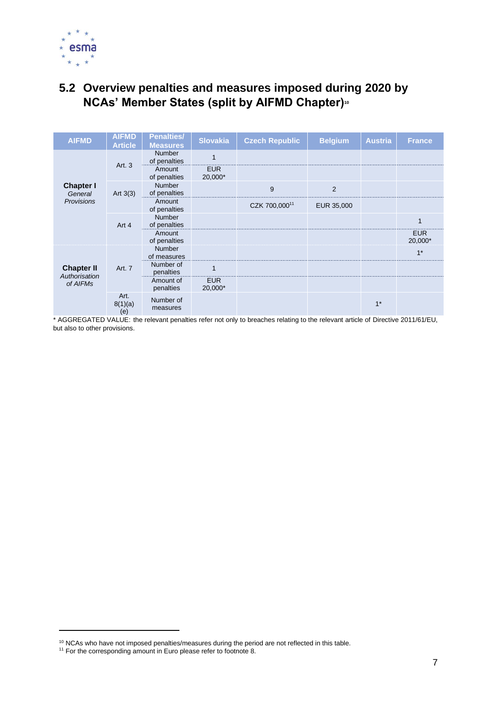

## <span id="page-6-0"></span>**5.2 Overview penalties and measures imposed during 2020 by NCAs' Member States (split by AIFMD Chapter)<sup>10</sup>**

| <b>AIFMD</b>                       | <b>AIFMD</b><br><b>Article</b> | <b>Penalties/</b><br><b>Measures</b> | <b>Slovakia</b>       | <b>Czech Republic</b> | <b>Belgium</b> | <b>Austria</b> | <b>France</b>         |
|------------------------------------|--------------------------------|--------------------------------------|-----------------------|-----------------------|----------------|----------------|-----------------------|
|                                    | Art. 3                         | <b>Number</b><br>of penalties        |                       |                       |                |                |                       |
|                                    |                                | Amount<br>of penalties               | <b>EUR</b><br>20,000* |                       |                |                |                       |
| <b>Chapter I</b><br>General        | Art $3(3)$                     | <b>Number</b><br>of penalties        |                       | 9                     | 2              |                |                       |
| <b>Provisions</b>                  |                                | Amount<br>of penalties               |                       | CZK 700,00011         | EUR 35,000     |                |                       |
|                                    | Art 4                          | Number<br>of penalties               |                       |                       |                |                | 1                     |
|                                    |                                | Amount<br>of penalties               |                       |                       |                |                | <b>EUR</b><br>20,000* |
|                                    |                                | <b>Number</b><br>of measures         |                       |                       |                |                | $1*$                  |
| <b>Chapter II</b><br>Authorisation | Art. 7                         | Number of<br>penalties               |                       |                       |                |                |                       |
| of AIFMs                           |                                | Amount of<br>penalties               | <b>EUR</b><br>20,000* |                       |                |                |                       |
|                                    | Art.<br>8(1)(a)<br>(e)         | Number of<br>measures                |                       |                       |                | $1*$           |                       |

 $10$  NCAs who have not imposed penalties/measures during the period are not reflected in this table.

 $11$  For the corresponding amount in Euro please refer to footnote 8.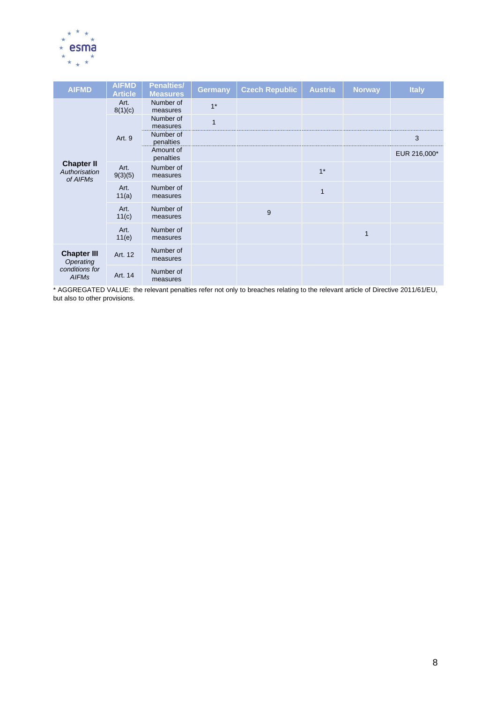

| <b>AIFMD</b>                                   | <b>AIFMD</b><br><b>Article</b> | <b>Penalties/</b><br><b>Measures</b> | <b>Germany</b> | <b>Czech Republic</b> | <b>Austria</b> | <b>Norway</b> | <b>Italy</b> |
|------------------------------------------------|--------------------------------|--------------------------------------|----------------|-----------------------|----------------|---------------|--------------|
|                                                | Art.<br>8(1)(c)                | Number of<br>measures                | $1*$           |                       |                |               |              |
|                                                |                                | Number of<br>measures                | $\mathbf{1}$   |                       |                |               |              |
|                                                | Art. 9                         | Number of<br>penalties               |                |                       |                |               | 3            |
|                                                |                                | Amount of<br>penalties               |                |                       |                |               | EUR 216,000* |
| <b>Chapter II</b><br>Authorisation<br>of AIFMs | Art.<br>9(3)(5)                | Number of<br>measures                |                |                       | $1*$           |               |              |
|                                                | Art.<br>11(a)                  | Number of<br>measures                |                |                       | $\mathbf{1}$   |               |              |
|                                                | Art.<br>11(c)                  | Number of<br>measures                |                | 9                     |                |               |              |
|                                                | Art.<br>11(e)                  | Number of<br>measures                |                |                       |                | $\mathbf{1}$  |              |
| <b>Chapter III</b><br>Operating                | Art. 12                        | Number of<br>measures                |                |                       |                |               |              |
| conditions for<br><b>AIFMs</b>                 | Art. 14                        | Number of<br>measures                |                |                       |                |               |              |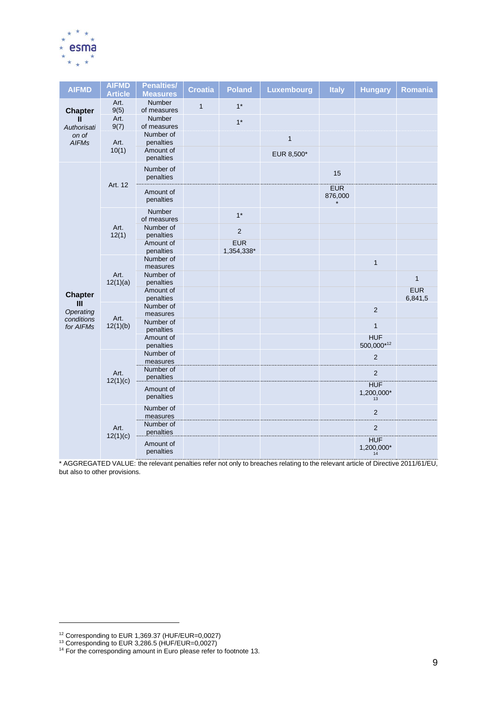

| <b>AIFMD</b>                   | <b>AIFMD</b><br><b>Article</b> | <b>Penalties/</b><br><b>Measures</b> | <b>Croatia</b> | <b>Poland</b>            | Luxembourg   | <b>Italy</b>          | <b>Hungary</b>                 | Romania               |
|--------------------------------|--------------------------------|--------------------------------------|----------------|--------------------------|--------------|-----------------------|--------------------------------|-----------------------|
| <b>Chapter</b>                 | Art.<br>9(5)                   | <b>Number</b><br>of measures         | $\mathbf{1}$   | $1*$                     |              |                       |                                |                       |
| Ш<br>Authorisati               | Art.<br>9(7)                   | Number<br>of measures                |                | $1*$                     |              |                       |                                |                       |
| on of<br><b>AIFMs</b>          | Art.                           | Number of<br>penalties               |                |                          | $\mathbf{1}$ |                       |                                |                       |
|                                | 10(1)                          | Amount of<br>penalties               |                |                          | EUR 8,500*   |                       |                                |                       |
|                                | Art. 12                        | Number of<br>penalties               |                |                          |              | 15                    |                                |                       |
|                                |                                | Amount of<br>penalties               |                |                          |              | <b>EUR</b><br>876,000 |                                |                       |
|                                | Art.<br>12(1)                  | Number<br>of measures                |                | $1*$                     |              |                       |                                |                       |
|                                |                                | Number of<br>penalties               |                | $\mathbf 2$              |              |                       |                                |                       |
|                                |                                | Amount of<br>penalties               |                | <b>EUR</b><br>1,354,338* |              |                       |                                |                       |
|                                |                                | Number of<br>measures                |                |                          |              |                       | $\mathbf{1}$                   |                       |
|                                | Art.<br>12(1)(a)               | Number of<br>penalties               |                |                          |              |                       |                                | $\mathbf{1}$          |
| <b>Chapter</b><br>$\mathbf{m}$ |                                | Amount of<br>penalties               |                |                          |              |                       |                                | <b>EUR</b><br>6,841,5 |
| Operating<br>conditions        | Art.                           | Number of<br>measures                |                |                          |              |                       | $\overline{2}$                 |                       |
| for AIFMs                      | 12(1)(b)                       | Number of<br>penalties               |                |                          |              |                       | $\mathbf{1}$                   |                       |
|                                |                                | Amount of<br>penalties               |                |                          |              |                       | <b>HUF</b><br>500,000*12       |                       |
|                                |                                | Number of<br>measures                |                |                          |              |                       | $\overline{2}$                 |                       |
|                                | Art.<br>12(1)(c)               | Number of<br>penalties               |                |                          |              |                       | $\overline{2}$                 |                       |
|                                |                                | Amount of<br>penalties               |                |                          |              |                       | <b>HUF</b><br>1,200,000*<br>13 |                       |
|                                |                                | Number of<br>measures                |                |                          |              |                       | $\overline{2}$                 |                       |
|                                | Art.                           | Number of<br>penalties               |                |                          |              |                       | 2                              |                       |
|                                | 12(1)(c)                       | Amount of<br>penalties               |                |                          |              |                       | <b>HUF</b><br>1,200,000*<br>14 |                       |

<sup>12</sup> Corresponding to EUR 1,369.37 (HUF/EUR=0,0027)

<sup>13</sup> Corresponding to EUR 3,286.5 (HUF/EUR=0,0027)

 $14$  For the corresponding amount in Euro please refer to footnote 13.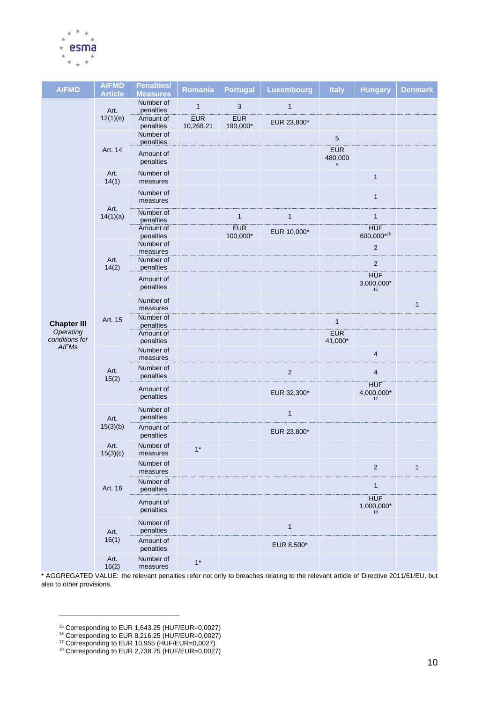

| <b>AIFMD</b>                                | <b>AIFMD</b><br><b>Article</b> | <b>Penalties/</b><br><b>Measures</b> | Romania                 | <b>Portugal</b>        | Luxembourg   | <b>Italy</b>          | <b>Hungary</b>                 | <b>Denmark</b> |
|---------------------------------------------|--------------------------------|--------------------------------------|-------------------------|------------------------|--------------|-----------------------|--------------------------------|----------------|
|                                             | Art.                           | Number of<br>penalties               | $\mathbf{1}$            | 3                      | $\mathbf{1}$ |                       |                                |                |
|                                             | 12(1)(e)                       | Amount of<br>penalties               | <b>EUR</b><br>10,268.21 | <b>EUR</b><br>190,000* | EUR 23,800*  |                       |                                |                |
|                                             |                                | Number of<br>penalties               |                         |                        |              | 5                     |                                |                |
|                                             | Art. 14                        | Amount of<br>penalties               |                         |                        |              | <b>EUR</b><br>480,000 |                                |                |
|                                             | Art.<br>14(1)                  | Number of<br>measures                |                         |                        |              |                       | $\mathbf{1}$                   |                |
|                                             |                                | Number of<br>measures                |                         |                        |              |                       | $\mathbf{1}$                   |                |
|                                             | Art.<br>14(1)(a)               | Number of<br>penalties               |                         | $\mathbf{1}$           | $\mathbf{1}$ |                       | 1                              |                |
|                                             |                                | Amount of<br>penalties               |                         | <b>EUR</b><br>100,000* | EUR 10,000*  |                       | <b>HUF</b><br>600,000*15       |                |
|                                             | Art.<br>14(2)                  | Number of<br>measures<br>Number of   |                         |                        |              |                       | $\overline{c}$                 |                |
|                                             |                                | penalties                            |                         |                        |              |                       | 2                              |                |
|                                             |                                | Amount of<br>penalties               |                         |                        |              |                       | <b>HUF</b><br>$3,000,000*$     |                |
|                                             | Art. 15                        | Number of<br>measures                |                         |                        |              |                       |                                | $\mathbf{1}$   |
| <b>Chapter III</b>                          |                                | Number of<br>penalties               |                         |                        |              | $\mathbf{1}$          |                                |                |
| Operating<br>conditions for<br><b>AIFMs</b> |                                | Amount of<br>penalties               |                         |                        |              | <b>EUR</b><br>41,000* |                                |                |
|                                             | Art.<br>15(2)                  | Number of<br>measures                |                         |                        |              |                       | 4                              |                |
|                                             |                                | Number of<br>penalties               |                         |                        | $\sqrt{2}$   |                       | 4                              |                |
|                                             |                                | Amount of<br>penalties               |                         |                        | EUR 32,300*  |                       | <b>HUF</b><br>4,000,000*<br>17 |                |
|                                             | Art.                           | Number of<br>penalties               |                         |                        | $\mathbf{1}$ |                       |                                |                |
|                                             | 15(3)(b)                       | Amount of<br>penalties               |                         |                        | EUR 23,800*  |                       |                                |                |
|                                             | Art.<br>15(3)(c)               | Number of<br>measures                | $1*$                    |                        |              |                       |                                |                |
|                                             |                                | Number of<br>measures                |                         |                        |              |                       | $\overline{2}$                 | $\mathbf{1}$   |
|                                             | Art. 16                        | Number of<br>penalties               |                         |                        |              |                       | $\mathbf{1}$                   |                |
|                                             |                                | Amount of<br>penalties               |                         |                        |              |                       | <b>HUF</b><br>1,000,000*       |                |
|                                             | Art.                           | Number of<br>penalties               |                         |                        | $\mathbf{1}$ |                       |                                |                |
|                                             | 16(1)                          | Amount of<br>penalties               |                         |                        | EUR 8,500*   |                       |                                |                |
|                                             | Art.<br>16(2)                  | Number of<br>measures                | $1*$                    |                        |              |                       |                                |                |

<sup>15</sup> Corresponding to EUR 1,643.25 (HUF/EUR=0,0027)

<sup>16</sup> Corresponding to EUR 8,216.25 (HUF/EUR=0,0027)

<sup>17</sup> Corresponding to EUR 10,955 (HUF/EUR=0,0027)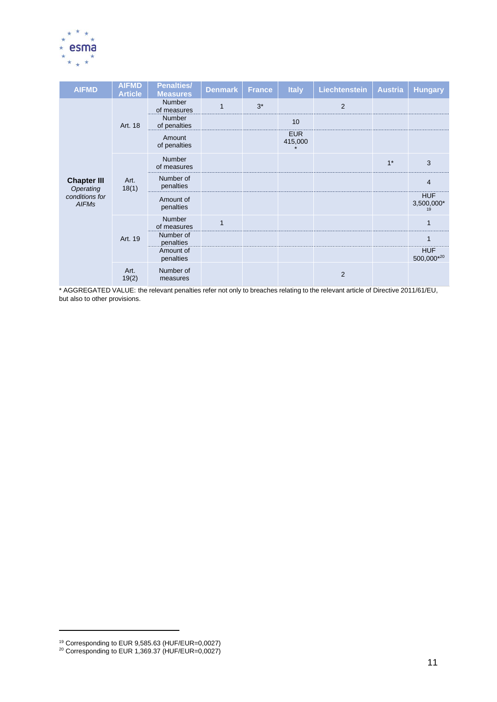

| <b>AIFMD</b>                    | <b>AIFMD</b><br><b>Article</b> | <b>Penalties/</b><br><b>Measures</b> | <b>Denmark</b> | <b>France</b> | <b>Italy</b>          | <b>Liechtenstein</b> | <b>Austria</b> | <b>Hungary</b>           |
|---------------------------------|--------------------------------|--------------------------------------|----------------|---------------|-----------------------|----------------------|----------------|--------------------------|
|                                 |                                | <b>Number</b><br>of measures         | $\mathbf{1}$   | $3^*$         |                       | $\overline{2}$       |                |                          |
|                                 | Art. 18                        | Number<br>of penalties               |                |               | 10                    |                      |                |                          |
|                                 |                                | Amount<br>of penalties               |                |               | <b>EUR</b><br>415,000 |                      |                |                          |
|                                 | Art.<br>18(1)                  | <b>Number</b><br>of measures         |                |               |                       |                      | $1*$           | 3                        |
| <b>Chapter III</b><br>Operating |                                | Number of<br>penalties               |                |               |                       |                      |                | $\overline{4}$           |
| conditions for<br><b>AIFMs</b>  |                                | Amount of<br>penalties               |                |               |                       |                      |                | <b>HUF</b><br>3,500,000* |
|                                 | Art. 19                        | <b>Number</b><br>of measures         | $\mathbf{1}$   |               |                       |                      |                | $\mathbf{1}$             |
|                                 |                                | Number of<br>penalties               |                |               |                       |                      |                | $\mathbf{1}$             |
|                                 |                                | Amount of<br>penalties               |                |               |                       |                      |                | <b>HUF</b><br>500,000*20 |
|                                 | Art.<br>19(2)                  | Number of<br>measures                |                |               |                       | 2                    |                |                          |

<sup>19</sup> Corresponding to EUR 9,585.63 (HUF/EUR=0,0027)

 $^{20}$  Corresponding to EUR 1,369.37 (HUF/EUR=0,0027)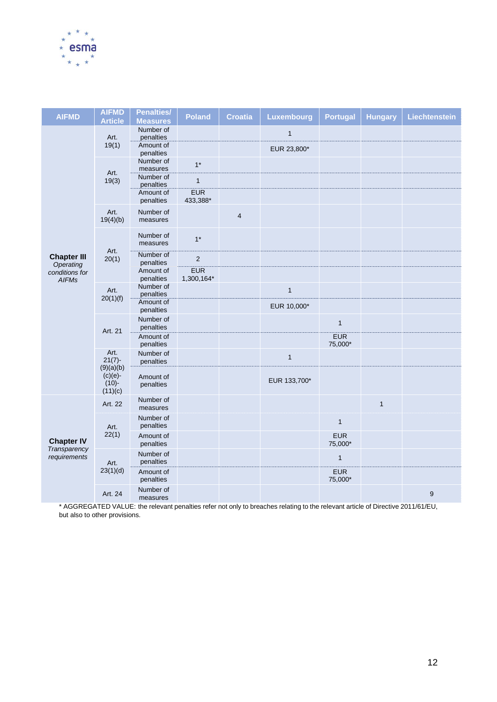

| <b>AIFMD</b>                    | <b>AIFMD</b><br><b>Article</b>   | <b>Penalties/</b><br><b>Measures</b> | <b>Poland</b>            | <b>Croatia</b> | Luxembourg   | <b>Portugal</b>       | <b>Hungary</b> | <b>Liechtenstein</b> |
|---------------------------------|----------------------------------|--------------------------------------|--------------------------|----------------|--------------|-----------------------|----------------|----------------------|
|                                 | Art.                             | Number of<br>penalties               |                          |                | $\mathbf{1}$ |                       |                |                      |
|                                 | 19(1)                            | Amount of<br>penalties               |                          |                | EUR 23,800*  |                       |                |                      |
|                                 |                                  | Number of<br>measures                | $1^*$                    |                |              |                       |                |                      |
|                                 | Art.<br>19(3)                    | Number of<br>penalties               | $\mathbf{1}$             |                |              |                       |                |                      |
|                                 |                                  | Amount of<br>penalties               | <b>EUR</b><br>433,388*   |                |              |                       |                |                      |
|                                 | Art.<br>19(4)(b)                 | Number of<br>measures                |                          | 4              |              |                       |                |                      |
|                                 |                                  | Number of<br>measures                | $1^*$                    |                |              |                       |                |                      |
| <b>Chapter III</b><br>Operating | Art.<br>20(1)                    | Number of<br>penalties               | $\sqrt{2}$               |                |              |                       |                |                      |
| conditions for<br><b>AIFMs</b>  |                                  | Amount of<br>penalties               | <b>EUR</b><br>1,300,164* |                |              |                       |                |                      |
|                                 | Art.<br>20(1)(f)                 | Number of<br>penalties               |                          |                | $\mathbf{1}$ |                       |                |                      |
|                                 |                                  | Amount of<br>penalties               |                          |                | EUR 10,000*  |                       |                |                      |
|                                 | Art. 21                          | Number of<br>penalties               |                          |                |              | $\mathbf{1}$          |                |                      |
|                                 |                                  | Amount of<br>penalties               |                          |                |              | <b>EUR</b><br>75,000* |                |                      |
|                                 | Art.<br>$21(7)$ -<br>(9)(a)(b)   | Number of<br>penalties               |                          |                | $\mathbf{1}$ |                       |                |                      |
|                                 | $(c)(e)-$<br>$(10) -$<br>(11)(c) | Amount of<br>penalties               |                          |                | EUR 133,700* |                       |                |                      |
|                                 | Art. 22                          | Number of<br>measures                |                          |                |              |                       | $\mathbf{1}$   |                      |
|                                 | Art.                             | Number of<br>penalties               |                          |                |              | $\mathbf{1}$          |                |                      |
| <b>Chapter IV</b>               | 22(1)                            | Amount of<br>penalties               |                          |                |              | <b>EUR</b><br>75,000* |                |                      |
| Transparency<br>requirements    | Art.                             | Number of<br>penalties               |                          |                |              | $\mathbf{1}$          |                |                      |
|                                 | 23(1)(d)                         | Amount of<br>penalties               |                          |                |              | <b>EUR</b><br>75,000* |                |                      |
|                                 | Art. 24                          | Number of<br>measures                |                          |                |              |                       |                | $\boldsymbol{9}$     |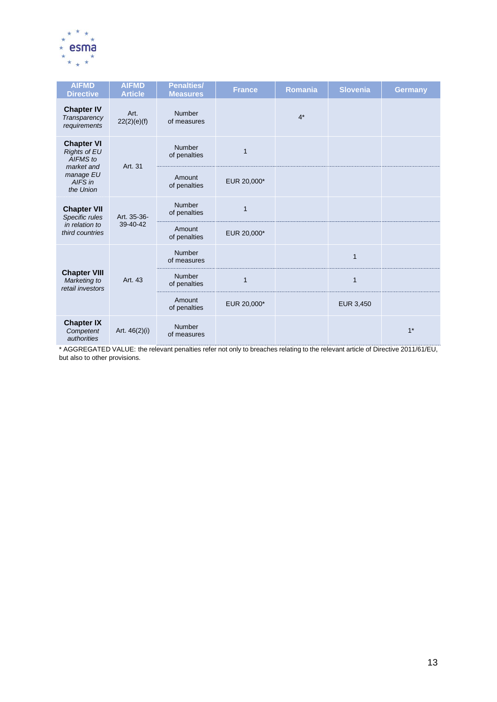

| <b>AIFMD</b><br><b>Directive</b>                                   | <b>AIFMD</b><br><b>Article</b> | <b>Penalties/</b><br><b>Measures</b> | <b>France</b> | Romania | <b>Slovenia</b> | <b>Germany</b> |
|--------------------------------------------------------------------|--------------------------------|--------------------------------------|---------------|---------|-----------------|----------------|
| <b>Chapter IV</b><br>Transparency<br>requirements                  | Art.<br>22(2)(e)(f)            | <b>Number</b><br>of measures         |               | $4*$    |                 |                |
| <b>Chapter VI</b><br><b>Rights of EU</b><br>AIFMS to<br>market and | Art. 31                        | Number<br>of penalties               | $\mathbf{1}$  |         |                 |                |
| manage EU<br>AIFS in<br>the Union                                  |                                | Amount<br>of penalties               | EUR 20,000*   |         |                 |                |
| <b>Chapter VII</b><br>Specific rules                               | Art. 35-36-                    | Number<br>of penalties               | $\mathbf{1}$  |         |                 |                |
| in relation to<br>third countries                                  | 39-40-42                       | Amount<br>of penalties               | EUR 20,000*   |         |                 |                |
|                                                                    |                                | Number<br>of measures                |               |         | $\mathbf{1}$    |                |
| <b>Chapter VIII</b><br>Marketing to<br>retail investors            | Art. 43                        | Number<br>of penalties               | $\mathbf{1}$  |         | $\mathbf{1}$    |                |
|                                                                    |                                | Amount<br>of penalties               | EUR 20,000*   |         | EUR 3,450       |                |
| <b>Chapter IX</b><br>Competent<br>authorities                      | Art. 46(2)(i)                  | Number<br>of measures                |               |         |                 | $1*$           |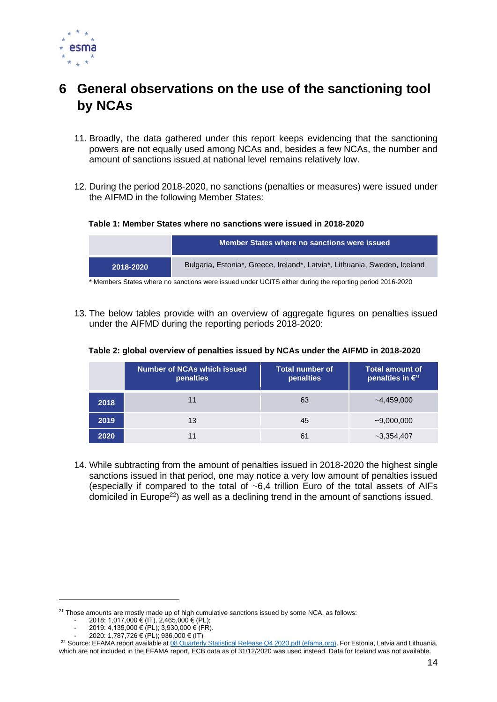

# <span id="page-13-0"></span>**6 General observations on the use of the sanctioning tool by NCAs**

- 11. Broadly, the data gathered under this report keeps evidencing that the sanctioning powers are not equally used among NCAs and, besides a few NCAs, the number and amount of sanctions issued at national level remains relatively low.
- 12. During the period 2018-2020, no sanctions (penalties or measures) were issued under the AIFMD in the following Member States:

### **Table 1: Member States where no sanctions were issued in 2018-2020**

|           | Member States where no sanctions were issued                              |
|-----------|---------------------------------------------------------------------------|
| 2018-2020 | Bulgaria, Estonia*, Greece, Ireland*, Latvia*, Lithuania, Sweden, Iceland |

\* Members States where no sanctions were issued under UCITS either during the reporting period 2016-2020

13. The below tables provide with an overview of aggregate figures on penalties issued under the AIFMD during the reporting periods 2018-2020:

### **Table 2: global overview of penalties issued by NCAs under the AIFMD in 2018-2020**

|      | Number of NCAs which issued<br>penalties | <b>Total number of</b><br><b>penalties</b> | Total amount of<br>penalties in $\epsilon^{21}$ |
|------|------------------------------------------|--------------------------------------------|-------------------------------------------------|
| 2018 | 11                                       | 63                                         | $-4,459,000$                                    |
| 2019 | 13                                       | 45                                         | $-9,000,000$                                    |
| 2020 | 11                                       | 61                                         | $-3,354,407$                                    |

14. While subtracting from the amount of penalties issued in 2018-2020 the highest single sanctions issued in that period, one may notice a very low amount of penalties issued (especially if compared to the total of  $~6,4$  trillion Euro of the total assets of AIFs domiciled in Europe<sup>22</sup>) as well as a declining trend in the amount of sanctions issued.

 $21$  Those amounts are mostly made up of high cumulative sanctions issued by some NCA, as follows:

 $2018$ : 1,017,000 € (IT), 2,465,000 € (PL);

 $2019: 4,135,000 \in (PL); 3,930,000 \in (FR).$ 

<sup>-</sup> 2020: 1,787,726 € (PL); 936,000 € (IT)

<sup>&</sup>lt;sup>22</sup> Source: EFAMA report available at 08 Quarterly Statistical Release Q4 2020 pdf (efama.org). For Estonia, Latvia and Lithuania, which are not included in the EFAMA report, ECB data as of 31/12/2020 was used instead. Data for Iceland was not available.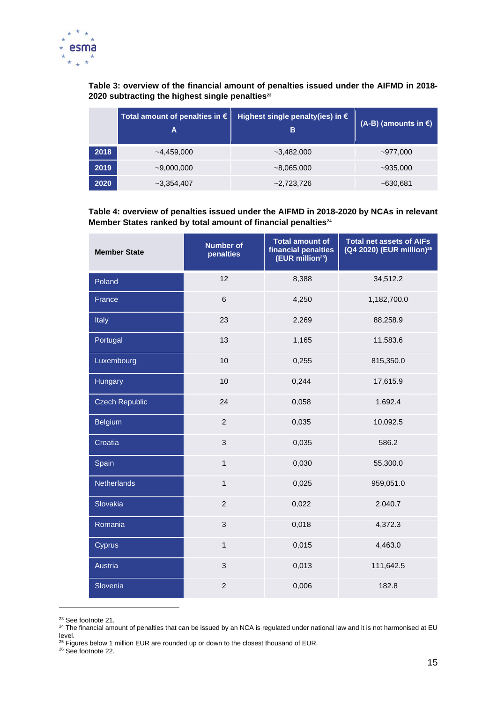

**Table 3: overview of the financial amount of penalties issued under the AIFMD in 2018- 2020 subtracting the highest single penalties<sup>23</sup>**

|      | Total amount of penalties in $\epsilon$<br>Α | Highest single penalty(ies) in €<br>B | (A-B) (amounts in €) |
|------|----------------------------------------------|---------------------------------------|----------------------|
| 2018 | $-4,459,000$                                 | $-3.482.000$                          | $-977,000$           |
| 2019 | $-9,000,000$                                 | $~1 - 8,065,000$                      | $-935,000$           |
| 2020 | $-3,354,407$                                 | $-2,723,726$                          | ~5630.681            |

### **Table 4: overview of penalties issued under the AIFMD in 2018-2020 by NCAs in relevant Member States ranked by total amount of financial penalties<sup>24</sup>**

| <b>Member State</b>   | <b>Number of</b><br>penalties | <b>Total amount of</b><br>financial penalties<br>(EUR million <sup>25</sup> ) | <b>Total net assets of AIFs</b><br>(Q4 2020) (EUR million) <sup>26</sup> |
|-----------------------|-------------------------------|-------------------------------------------------------------------------------|--------------------------------------------------------------------------|
| Poland                | 12                            | 8,388                                                                         | 34,512.2                                                                 |
| France                | $\,6\,$                       | 4,250                                                                         | 1,182,700.0                                                              |
| Italy                 | 23                            | 2,269                                                                         | 88,258.9                                                                 |
| Portugal              | 13                            | 1,165                                                                         | 11,583.6                                                                 |
| Luxembourg            | 10                            | 0,255                                                                         | 815,350.0                                                                |
| Hungary               | 10                            | 0,244                                                                         | 17,615.9                                                                 |
| <b>Czech Republic</b> | 24                            | 0,058                                                                         | 1,692.4                                                                  |
| <b>Belgium</b>        | $\overline{2}$                | 0,035                                                                         | 10,092.5                                                                 |
| Croatia               | $\mathfrak{S}$                | 0,035                                                                         | 586.2                                                                    |
| Spain                 | $\mathbf{1}$                  | 0,030                                                                         | 55,300.0                                                                 |
| Netherlands           | $\mathbf{1}$                  | 0,025                                                                         | 959,051.0                                                                |
| Slovakia              | $\overline{2}$                | 0,022                                                                         | 2,040.7                                                                  |
| Romania               | 3                             | 0,018                                                                         | 4,372.3                                                                  |
| Cyprus                | $\mathbf{1}$                  | 0,015                                                                         | 4,463.0                                                                  |
| Austria               | 3                             | 0,013                                                                         | 111,642.5                                                                |
| Slovenia              | $\overline{c}$                | 0,006                                                                         | 182.8                                                                    |

<sup>&</sup>lt;sup>23</sup> See footnote 21.

<sup>26</sup> See footnote 22.

 $^{24}$  The financial amount of penalties that can be issued by an NCA is regulated under national law and it is not harmonised at EU level.

 $25$  Figures below 1 million EUR are rounded up or down to the closest thousand of EUR.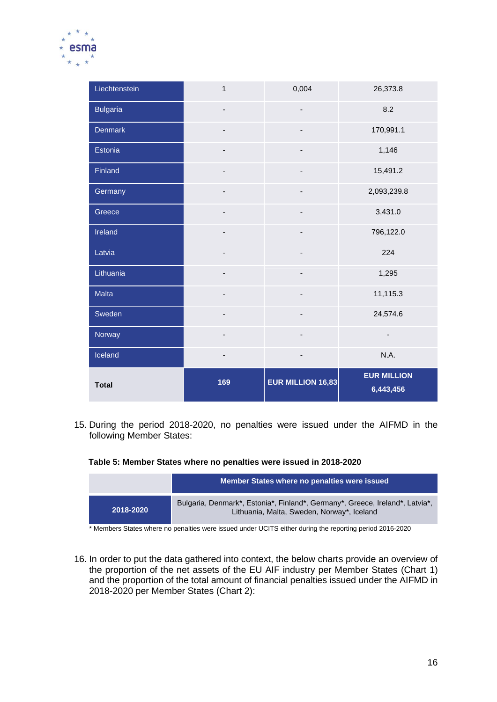

| Liechtenstein   | $\mathbf{1}$             | 0,004                    | 26,373.8                        |
|-----------------|--------------------------|--------------------------|---------------------------------|
| <b>Bulgaria</b> | $\overline{\phantom{0}}$ |                          | 8.2                             |
| Denmark         |                          |                          | 170,991.1                       |
| Estonia         | $\overline{\phantom{a}}$ | $\overline{\phantom{a}}$ | 1,146                           |
| Finland         |                          |                          | 15,491.2                        |
| Germany         | $\overline{\phantom{0}}$ | ٠                        | 2,093,239.8                     |
| Greece          | $\overline{\phantom{0}}$ |                          | 3,431.0                         |
| Ireland         | $\overline{\phantom{a}}$ | -                        | 796,122.0                       |
| Latvia          | $\overline{\phantom{a}}$ | -                        | 224                             |
| Lithuania       |                          |                          | 1,295                           |
| Malta           | $\overline{\phantom{0}}$ | ٠                        | 11,115.3                        |
| Sweden          | $\overline{\phantom{0}}$ | ٠                        | 24,574.6                        |
| Norway          | $\overline{\phantom{a}}$ | -                        | $\overline{\phantom{a}}$        |
| Iceland         | $\overline{\phantom{0}}$ |                          | N.A.                            |
| <b>Total</b>    | 169                      | EUR MILLION 16,83        | <b>EUR MILLION</b><br>6,443,456 |

15. During the period 2018-2020, no penalties were issued under the AIFMD in the following Member States:

### **Table 5: Member States where no penalties were issued in 2018-2020**

|           | Member States where no penalties were issued                                                                               |
|-----------|----------------------------------------------------------------------------------------------------------------------------|
| 2018-2020 | Bulgaria, Denmark*, Estonia*, Finland*, Germany*, Greece, Ireland*, Latvia*,<br>Lithuania, Malta, Sweden, Norway*, Iceland |

\* Members States where no penalties were issued under UCITS either during the reporting period 2016-2020

16. In order to put the data gathered into context, the below charts provide an overview of the proportion of the net assets of the EU AIF industry per Member States (Chart 1) and the proportion of the total amount of financial penalties issued under the AIFMD in 2018-2020 per Member States (Chart 2):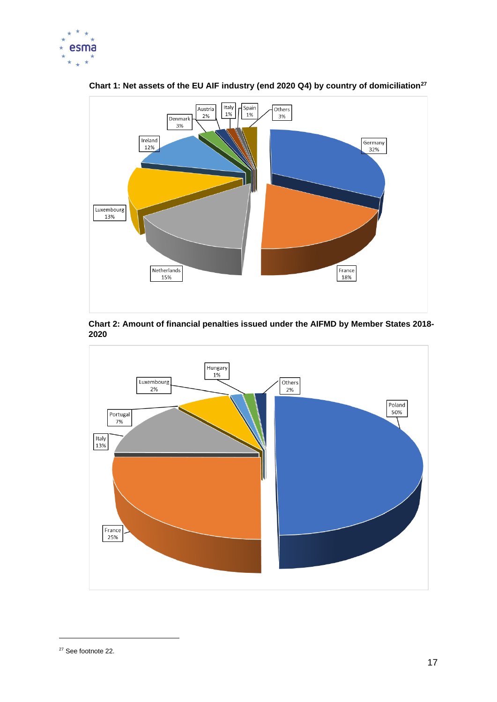



**Chart 1: Net assets of the EU AIF industry (end 2020 Q4) by country of domiciliation<sup>27</sup>**



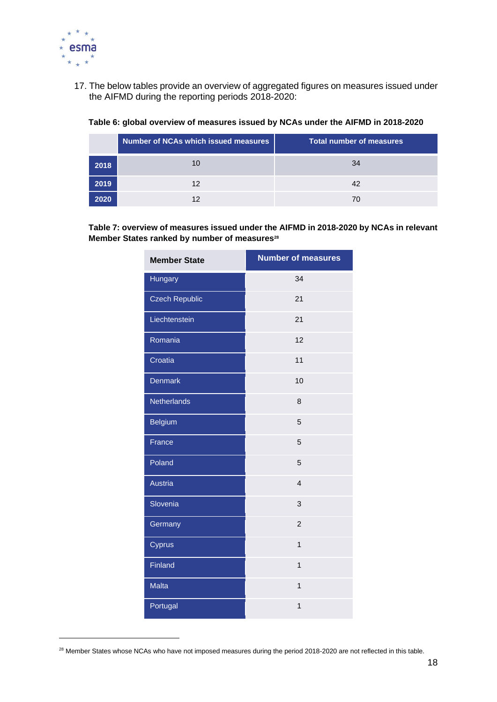

17. The below tables provide an overview of aggregated figures on measures issued under the AIFMD during the reporting periods 2018-2020:

|      | Number of NCAs which issued measures | <b>Total number of measures</b> |
|------|--------------------------------------|---------------------------------|
| 2018 | 10                                   | 34                              |
| 2019 | 12                                   | 42                              |
|      |                                      |                                 |

### **Table 6: global overview of measures issued by NCAs under the AIFMD in 2018-2020**

**Table 7: overview of measures issued under the AIFMD in 2018-2020 by NCAs in relevant Member States ranked by number of measures<sup>28</sup>**

| <b>Member State</b>   | <b>Number of measures</b> |
|-----------------------|---------------------------|
| Hungary               | 34                        |
| <b>Czech Republic</b> | 21                        |
| Liechtenstein         | 21                        |
| Romania               | 12                        |
| Croatia               | 11                        |
| <b>Denmark</b>        | 10                        |
| <b>Netherlands</b>    | 8                         |
| <b>Belgium</b>        | 5                         |
| France                | 5                         |
| Poland                | 5                         |
| Austria               | $\overline{4}$            |
| Slovenia              | 3                         |
| Germany               | $\overline{2}$            |
| Cyprus                | $\overline{1}$            |
| Finland               | $\mathbf{1}$              |
| <b>Malta</b>          | $\mathbf{1}$              |
| Portugal              | 1                         |

<sup>&</sup>lt;sup>28</sup> Member States whose NCAs who have not imposed measures during the period 2018-2020 are not reflected in this table.